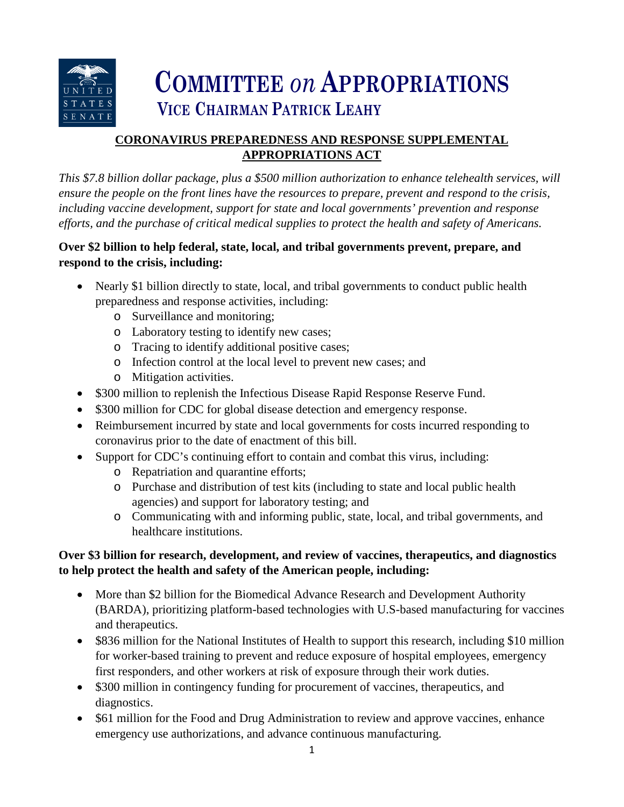

# **COMMITTEE** *on* **APPROPRIATIONS VICE CHAIRMAN PATRICK LEAHY**

# **CORONAVIRUS PREPAREDNESS AND RESPONSE SUPPLEMENTAL APPROPRIATIONS ACT**

*This \$7.8 billion dollar package, plus a \$500 million authorization to enhance telehealth services, will ensure the people on the front lines have the resources to prepare, prevent and respond to the crisis, including vaccine development, support for state and local governments' prevention and response efforts, and the purchase of critical medical supplies to protect the health and safety of Americans.* 

# **Over \$2 billion to help federal, state, local, and tribal governments prevent, prepare, and respond to the crisis, including:**

- Nearly \$1 billion directly to state, local, and tribal governments to conduct public health preparedness and response activities, including:
	- o Surveillance and monitoring;
	- o Laboratory testing to identify new cases;
	- o Tracing to identify additional positive cases;
	- o Infection control at the local level to prevent new cases; and
	- o Mitigation activities.
- \$300 million to replenish the Infectious Disease Rapid Response Reserve Fund.
- \$300 million for CDC for global disease detection and emergency response.
- Reimbursement incurred by state and local governments for costs incurred responding to coronavirus prior to the date of enactment of this bill.
- Support for CDC's continuing effort to contain and combat this virus, including:
	- o Repatriation and quarantine efforts;
	- o Purchase and distribution of test kits (including to state and local public health agencies) and support for laboratory testing; and
	- o Communicating with and informing public, state, local, and tribal governments, and healthcare institutions.

# **Over \$3 billion for research, development, and review of vaccines, therapeutics, and diagnostics to help protect the health and safety of the American people, including:**

- More than \$2 billion for the Biomedical Advance Research and Development Authority (BARDA), prioritizing platform-based technologies with U.S-based manufacturing for vaccines and therapeutics.
- \$836 million for the National Institutes of Health to support this research, including \$10 million for worker-based training to prevent and reduce exposure of hospital employees, emergency first responders, and other workers at risk of exposure through their work duties.
- \$300 million in contingency funding for procurement of vaccines, therapeutics, and diagnostics.
- \$61 million for the Food and Drug Administration to review and approve vaccines, enhance emergency use authorizations, and advance continuous manufacturing.